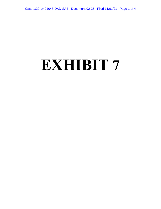## **EXHIBIT 7**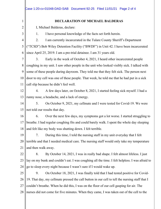|                | Case 1:20-cv-01048-DAD-SAB Document 92-25 Filed 11/01/21 Page 2 of 4                           |
|----------------|------------------------------------------------------------------------------------------------|
|                |                                                                                                |
| 1              | <b>DECLARATION OF MICHAEL BALDERAS</b>                                                         |
| $\overline{2}$ | I, Michael Balderas, declare:                                                                  |
| 3              | I have personal knowledge of the facts set forth herein.<br>1.                                 |
| $\overline{4}$ | I am currently incarcerated in the Tulare County Sheriff's Department<br>2.                    |
| 5              | ("TCSD") Bob Wiley Detention Facility ("BWDF") in Unit 42. I have been incarcerated            |
| 6              | since April 25, 2019. I am a pre-trial detainee. I am 31 years old.                            |
| 7              | Early in the week of October 4, 2021, I heard other incarcerated people<br>3.                  |
| 8              | coughing in my unit. I saw other people in the unit who looked visibly sick. I talked with     |
| 9              | some of these people during dayroom. They told me that they felt sick. The person next         |
| 10             | door to my cell was one of these people. That week, he told me that he had put in a sick       |
| 11             | call slip because he didn't feel well.                                                         |
| 12             | 4.<br>A few days later, on October 8, 2021, I started feeling sick myself. I had a             |
| 13             | runny nose, a headache, and a lack of energy.                                                  |
| 14             | 5.<br>On October 9, 2021, my cellmate and I were tested for Covid-19. We were                  |
| 15             | not told our results that day.                                                                 |
| 16             | Over the next few days, my symptoms got a lot worse. I started struggling to<br>6.             |
| 17             | breathe. I had regular coughing fits and could barely walk. I spent the whole day sleeping     |
| 18             | and felt like my body was shutting down. I felt terrible.                                      |
| 19             | During this time, I told the nursing staff in my unit everyday that I felt<br>7.               |
| 20             | terrible and that I needed medical care. The nursing staff would only take my temperature      |
| 21             | and then walk away.                                                                            |
| 22             | By October 14, 2021, I was in really bad shape. I felt almost lifeless. I just<br>8.           |
| 23             | lay on my bunk and couldn't eat. I was coughing all the time. I felt helpless. I was afraid to |
| 24             | go to sleep every night because I wasn't sure if I would wake up.                              |
| 25             | On October 18, 2021, I was finally told that I had tested positive for Covid-<br>9.            |
| 26             | 19. That day, my cellmate pressed the call button in our cell to tell the nursing staff that I |
| 27             | couldn't breathe. When he did this, I was on the floor of our cell gasping for air. The        |
| 28             | nurses did not come for five minutes. When they came, I was taken out of the cell to the       |
|                |                                                                                                |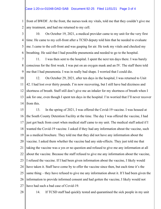## Case 1:20-cv-01048-DAD-SAB Document 92-25 Filed 11/01/21 Page 3 of 4

1 2 front of BWDF. At the front, the nurses took my vitals, told me that they couldn't give me any treatment, and had me returned to my cell.

3 4 5 6 10. On October 19, 2021, a medical provider came to my unit for the very first time. He came to my cell-front after a TCSD deputy told him that he needed to evaluate me. I came to the cell-front and was gasping for air. He took my vitals and checked my breathing. He said that I had possible pneumonia and needed to go to the hospital.

7 8 9 11. I was then sent to the hospital. I spent the next ten days there. I was barely conscious for the first week. I was put on an oxygen mask and an IV. The staff there told me that I had pneumonia. I was in really bad shape. I worried that I could die.

10 11 12 13 14 12. On October 29, 2021, after ten days in the hospital, I was returned to Unit 42. I had lost over thirty pounds. I'm now recovering, but I still have bad dizziness and shortness of breath. Staff still don't give me an inhaler for my shortness of breath when I ask for one, even though I spent ten days in the hospital. I'm worried that I'll never recover from this.

15 16 17 18 19 20 21 22 23 24 25 26 27 13. In the spring of 2021, I was offered the Covid-19 vaccine. I was housed at the South County Detention Facility at the time. The day I was offered the vaccine, I had just got back from court when medical staff came to my unit. The medical staff asked if I wanted the Covid-19 vaccine. I asked if they had any information about the vaccine, such as a medical brochure. They told me that they did not have any information about the vaccine. I asked them whether the vaccine had any side-effects. They just told me that taking the vaccine was a yes or no question and refused to give me any information at all about the vaccine. Because the staff refused to give me any information about the vaccine, I refused the vaccine. If I had been given information about the vaccine, I likely would have taken it. Staff have come by to offer the vaccine since then, but each time it's the same thing – they have refused to give me any information about it. If I had been given the information to provide informed consent and had gotten the vaccine, I likely would not have had such a bad case of Covid-19.

28

14. If TCSD staff had quickly tested and quarantined the sick people in my unit